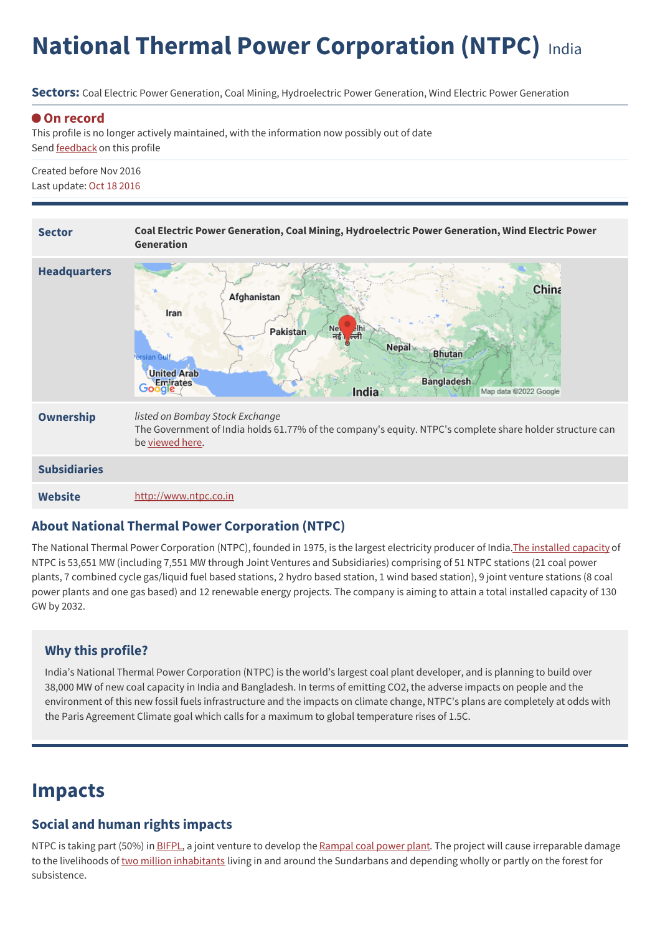# **National Thermal Power Corporation (NTPC)** India

**Sectors:** Coal Electric Power Generation, Coal Mining, Hydroelectric Power Generation, Wind Electric Power Generation

#### **On record**

This profile is no longer actively maintained, with the information now possibly out of date Send [feedback](https://www.banktrack.org/feedback/companyprofile/national_thermal_power_corporation_ntpc_) on this profile

Created before Nov 2016 Last update: Oct 18 2016



#### **About National Thermal Power Corporation (NTPC)**

The National Thermal Power Corporation (NTPC), founded in 1975, is the largest electricity producer of India. The [installed](https://www.ntpc.co.in/en/power-generation/installed-capacity) capacity of NTPC is 53,651 MW (including 7,551 MW through Joint Ventures and Subsidiaries) comprising of 51 NTPC stations (21 coal power plants, 7 combined cycle gas/liquid fuel based stations, 2 hydro based station, 1 wind based station), 9 joint venture stations (8 coal power plants and one gas based) and 12 renewable energy projects. The company is aiming to attain a total installed capacity of 130 GW by 2032.

### **Why this profile?**

India's National Thermal Power Corporation (NTPC) is the world's largest coal plant developer, and is planning to build over 38,000 MW of new coal capacity in India and Bangladesh. In terms of emitting CO2, the adverse impacts on people and the environment of this new fossil fuels infrastructure and the impacts on climate change, NTPC's plans are completely at odds with the Paris Agreement Climate goal which calls for a maximum to global temperature rises of 1.5C.

### **Impacts**

#### **Social and human rights impacts**

NTPC is taking part (50%) in [BIFPL](https://bifpcl.com/#), a joint venture to develop the [Rampal](https://www.banktrack.org/project/rampal#articles_type=external) coal power plant. The project will cause irreparable damage to the livelihoods of two million [inhabitants](http://whc.unesco.org/archive/advisory_body_evaluation/798.pdf) living in and around the Sundarbans and depending wholly or partly on the forest for subsistence.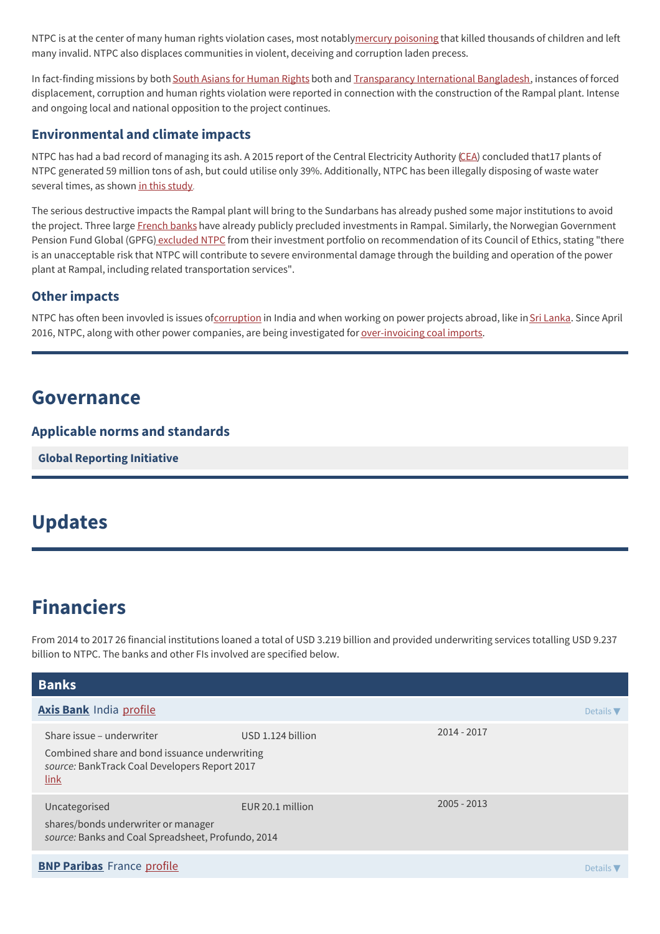NTPC is at the center of many human rights violation cases, most notablymercury [poisoning](http://www.bloomberg.com/news/2014-12-05/amid-india-s-coal-fields-death-lurks-in-poisoned-water.html) that killed thousands of children and left many invalid. NTPC also displaces communities in violent, deceiving and corruption laden precess.

In fact-finding missions by both South Asians for [Human](http://www.southasianrights.org/wp-content/uploads/2015/09/Report-of-the-FFM-Rampa-Bangladesh.pdf) Rights both and [Transparancy](https://www.ti-bangladesh.org/beta3/images/2015/es_ffs_coal_15_en.pdf) International Bangladesh, instances of forced displacement, corruption and human rights violation were reported in connection with the construction of the Rampal plant. Intense and ongoing local and national opposition to the project continues.

### **Environmental and climate impacts**

NTPC has had a bad record of managing its ash. A 2015 report of the Central Electricity Authority [\(CEA](http://cea.nic.in/reports/others/thermal/tcd/flyash_final_1415.pdf)) concluded that17 plants of NTPC generated 59 million tons of ash, but could utilise only 39%. Additionally, NTPC has been illegally disposing of waste water several times, as shown in this [study](http://www.manthan-india.org/wp-content/uploads/2015/04/Impacts-of-Coastal-Coal-Based-Thermal-Power-Plants-on-Water-Report-of-Visit-in-Andhra-Pradesh-and-Tamil-Nadu.pdf).

The serious destructive impacts the Rampal plant will bring to the Sundarbans has already pushed some major institutions to avoid the project. Three large [French](http://www.theguardian.com/environment/blog/2015/jun/25/french-banks-say-no-to-bangladesh-coal-plant) banks have already publicly precluded investments in Rampal. Similarly, the Norwegian Government Pension Fund Global (GPFG) [excluded](http://articles.economictimes.indiatimes.com/2015-03-16/news/60174880_1_coal-mining-coal-india-mining-companies) NTPC from their investment portfolio on recommendation of its Council of Ethics, stating "there is an unacceptable risk that NTPC will contribute to severe environmental damage through the building and operation of the power plant at Rampal, including related transportation services".

### **Other impacts**

NTPC has often been invovled is issues of[corruption](http://articles.economictimes.indiatimes.com/2013-04-26/news/38843834_1_central-vigilance-commission-irregularities-ntpc) in India and when working on power projects abroad, like in Sri [Lanka](http://www.transparency.org/news/pressrelease/tisl_led_coalition_against_corruption_urges_government_to_annul_sampur_powe). Since April 2016, NTPC, along with other power companies, are being investigated for [over-invoicing](http://www.counterview.net/2016/04/rs-29000-crore-scam-forty-top-indian.html) coal imports.

### **Governance**

### **Applicable norms and standards**

**Global [Reporting](http://www.globalreporting.org) Initiative**

### **Updates**

## **Financiers**

From 2014 to 2017 26 financial institutions loaned a total of USD 3.219 billion and provided underwriting services totalling USD 9.237 billion to NTPC. The banks and other FIs involved are specified below.

| <b>Banks</b>                                                                                                                        |                   |               |                              |
|-------------------------------------------------------------------------------------------------------------------------------------|-------------------|---------------|------------------------------|
| <b>Axis Bank India profile</b>                                                                                                      |                   |               | Details $\blacktriangledown$ |
| Share issue – underwriter<br>Combined share and bond issuance underwriting<br>source: BankTrack Coal Developers Report 2017<br>link | USD 1.124 billion | 2014 - 2017   |                              |
| Uncategorised<br>shares/bonds underwriter or manager<br>source: Banks and Coal Spreadsheet, Profundo, 2014                          | EUR 20.1 million  | $2005 - 2013$ |                              |
| <b>BNP Paribas</b> France profile                                                                                                   |                   |               | Details $\nabla$             |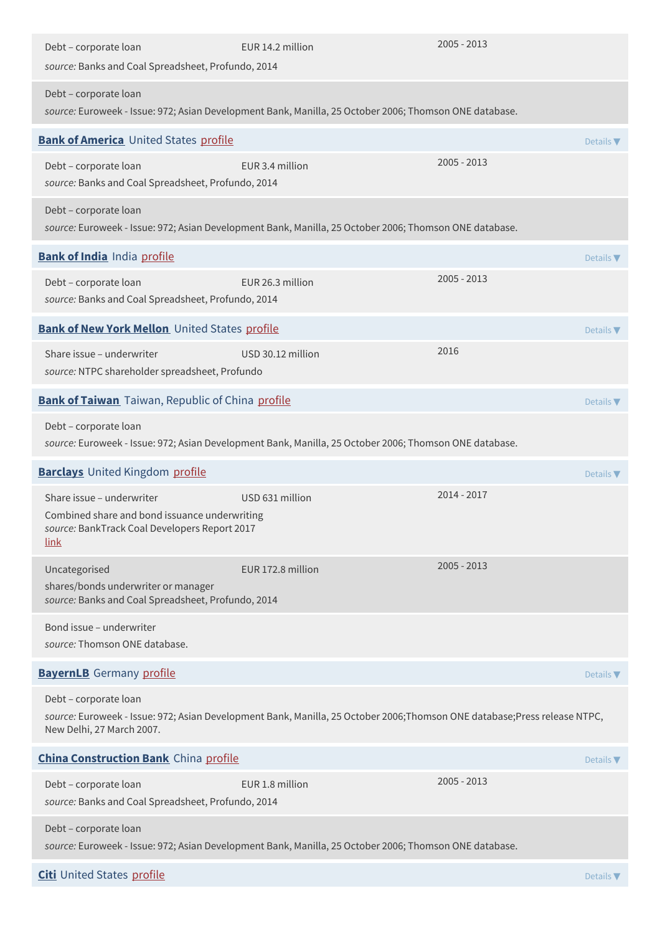| Debt - corporate loan<br>source: Banks and Coal Spreadsheet, Profundo, 2014                                                                | EUR 14.2 million                                                                                                         | $2005 - 2013$ |                              |
|--------------------------------------------------------------------------------------------------------------------------------------------|--------------------------------------------------------------------------------------------------------------------------|---------------|------------------------------|
| Debt - corporate loan                                                                                                                      | source: Euroweek - Issue: 972; Asian Development Bank, Manilla, 25 October 2006; Thomson ONE database.                   |               |                              |
| <b>Bank of America</b> United States profile                                                                                               |                                                                                                                          |               | Details $\nabla$             |
| Debt - corporate loan<br>source: Banks and Coal Spreadsheet, Profundo, 2014                                                                | EUR 3.4 million                                                                                                          | $2005 - 2013$ |                              |
| Debt - corporate loan                                                                                                                      | source: Euroweek - Issue: 972; Asian Development Bank, Manilla, 25 October 2006; Thomson ONE database.                   |               |                              |
| <b>Bank of India India profile</b>                                                                                                         |                                                                                                                          |               | Details $\nabla$             |
| Debt - corporate loan<br>source: Banks and Coal Spreadsheet, Profundo, 2014                                                                | EUR 26.3 million                                                                                                         | $2005 - 2013$ |                              |
| Bank of New York Mellon United States profile                                                                                              |                                                                                                                          |               | Details $\nabla$             |
| Share issue - underwriter<br>source: NTPC shareholder spreadsheet, Profundo                                                                | USD 30.12 million                                                                                                        | 2016          |                              |
| <b>Bank of Taiwan</b> Taiwan, Republic of China profile                                                                                    |                                                                                                                          |               | Details $\nabla$             |
| Debt - corporate loan                                                                                                                      | source: Euroweek - Issue: 972; Asian Development Bank, Manilla, 25 October 2006; Thomson ONE database.                   |               |                              |
| <b>Barclays</b> United Kingdom profile                                                                                                     |                                                                                                                          |               | Details $\nabla$             |
| Share issue - underwriter<br>Combined share and bond issuance underwriting<br>source: BankTrack Coal Developers Report 2017<br><u>link</u> | USD 631 million                                                                                                          | 2014 - 2017   |                              |
| Uncategorised                                                                                                                              | EUR 172.8 million                                                                                                        | $2005 - 2013$ |                              |
| shares/bonds underwriter or manager<br>source: Banks and Coal Spreadsheet, Profundo, 2014                                                  |                                                                                                                          |               |                              |
| Bond issue - underwriter<br>source: Thomson ONE database.                                                                                  |                                                                                                                          |               |                              |
| <b>BayernLB</b> Germany profile                                                                                                            |                                                                                                                          |               | Details $\nabla$             |
| Debt - corporate loan<br>New Delhi, 27 March 2007.                                                                                         | source: Euroweek - Issue: 972; Asian Development Bank, Manilla, 25 October 2006;Thomson ONE database;Press release NTPC, |               |                              |
| <b>China Construction Bank</b> China profile                                                                                               |                                                                                                                          |               | Details $\blacktriangledown$ |
| Debt - corporate loan<br>source: Banks and Coal Spreadsheet, Profundo, 2014                                                                | EUR 1.8 million                                                                                                          | $2005 - 2013$ |                              |
| Debt - corporate loan                                                                                                                      | source: Euroweek - Issue: 972; Asian Development Bank, Manilla, 25 October 2006; Thomson ONE database.                   |               |                              |
| <b>Citi</b> United States profile                                                                                                          |                                                                                                                          |               | Details $\blacktriangledown$ |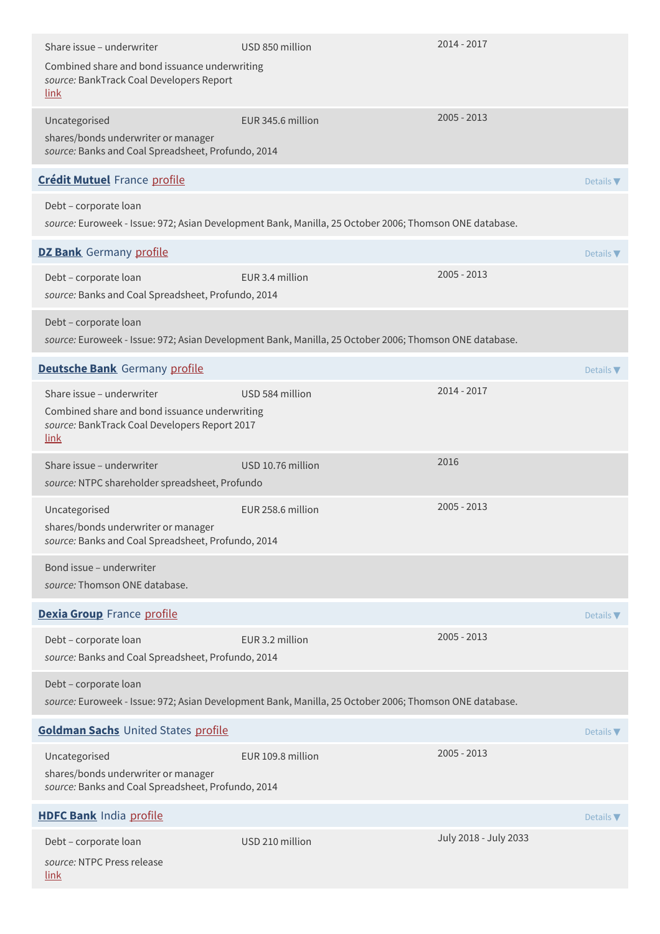| Share issue - underwriter                                                                                                           | USD 850 million                                                                                        | 2014 - 2017                  |  |
|-------------------------------------------------------------------------------------------------------------------------------------|--------------------------------------------------------------------------------------------------------|------------------------------|--|
| Combined share and bond issuance underwriting<br>source: BankTrack Coal Developers Report<br><u>link</u>                            |                                                                                                        |                              |  |
| Uncategorised<br>shares/bonds underwriter or manager<br>source: Banks and Coal Spreadsheet, Profundo, 2014                          | EUR 345.6 million                                                                                      | $2005 - 2013$                |  |
| <b>Crédit Mutuel France profile</b>                                                                                                 |                                                                                                        | Details V                    |  |
| Debt - corporate loan                                                                                                               | source: Euroweek - Issue: 972; Asian Development Bank, Manilla, 25 October 2006; Thomson ONE database. |                              |  |
| <b>DZ Bank</b> Germany profile                                                                                                      |                                                                                                        | Details $\nabla$             |  |
| Debt - corporate loan<br>source: Banks and Coal Spreadsheet, Profundo, 2014                                                         | EUR 3.4 million                                                                                        | $2005 - 2013$                |  |
| Debt - corporate loan                                                                                                               | source: Euroweek - Issue: 972; Asian Development Bank, Manilla, 25 October 2006; Thomson ONE database. |                              |  |
| <b>Deutsche Bank</b> Germany profile                                                                                                |                                                                                                        | Details $\nabla$             |  |
| Share issue - underwriter<br>Combined share and bond issuance underwriting<br>source: BankTrack Coal Developers Report 2017<br>link | USD 584 million                                                                                        | $2014 - 2017$                |  |
| Share issue - underwriter<br>source: NTPC shareholder spreadsheet, Profundo                                                         | USD 10.76 million                                                                                      | 2016                         |  |
| Uncategorised<br>shares/bonds underwriter or manager<br>source: Banks and Coal Spreadsheet, Profundo, 2014                          | EUR 258.6 million                                                                                      | $2005 - 2013$                |  |
| Bond issue - underwriter<br>source: Thomson ONE database.                                                                           |                                                                                                        |                              |  |
| Dexia Group France profile                                                                                                          |                                                                                                        | Details $\nabla$             |  |
| Debt - corporate loan<br>source: Banks and Coal Spreadsheet, Profundo, 2014                                                         | EUR 3.2 million                                                                                        | $2005 - 2013$                |  |
| Debt - corporate loan                                                                                                               | source: Euroweek - Issue: 972; Asian Development Bank, Manilla, 25 October 2006; Thomson ONE database. |                              |  |
| Goldman Sachs United States profile                                                                                                 |                                                                                                        | Details $\blacktriangledown$ |  |
| Uncategorised<br>shares/bonds underwriter or manager<br>source: Banks and Coal Spreadsheet, Profundo, 2014                          | EUR 109.8 million                                                                                      | $2005 - 2013$                |  |
| <b>HDFC Bank India profile</b>                                                                                                      |                                                                                                        | Details $\nabla$             |  |
| Debt - corporate loan<br>source: NTPC Press release<br><u>link</u>                                                                  | USD 210 million                                                                                        | July 2018 - July 2033        |  |
|                                                                                                                                     |                                                                                                        |                              |  |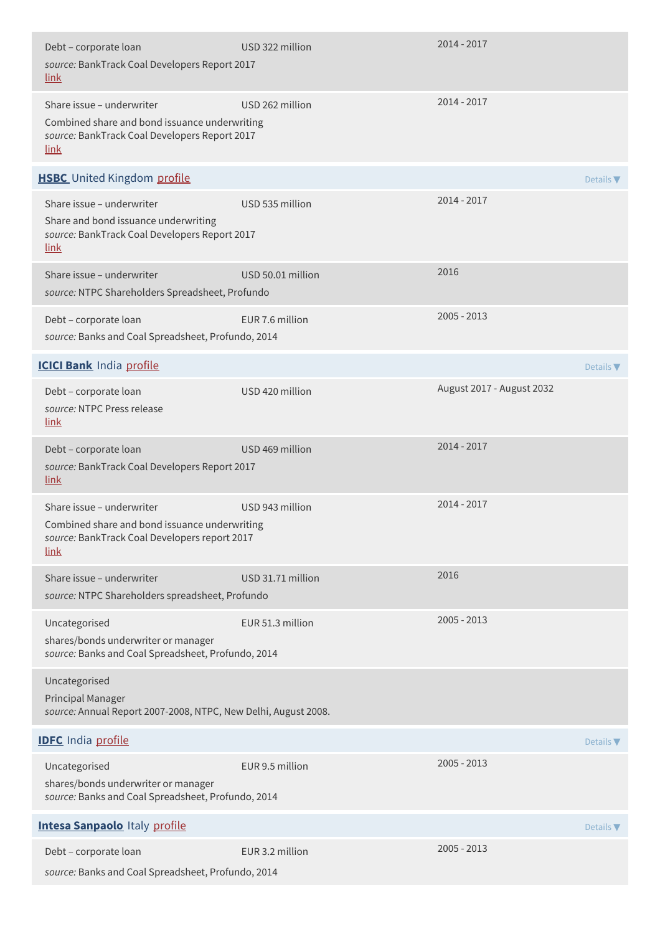| Debt - corporate loan<br>source: BankTrack Coal Developers Report 2017<br><u>link</u>                                                      | USD 322 million   | 2014 - 2017               |                              |
|--------------------------------------------------------------------------------------------------------------------------------------------|-------------------|---------------------------|------------------------------|
| Share issue - underwriter<br>Combined share and bond issuance underwriting<br>source: BankTrack Coal Developers Report 2017<br>link        | USD 262 million   | $2014 - 2017$             |                              |
| <b>HSBC</b> United Kingdom profile                                                                                                         |                   |                           | Details $\nabla$             |
| Share issue - underwriter<br>Share and bond issuance underwriting<br>source: BankTrack Coal Developers Report 2017<br><u>link</u>          | USD 535 million   | $2014 - 2017$             |                              |
| Share issue - underwriter<br>source: NTPC Shareholders Spreadsheet, Profundo                                                               | USD 50.01 million | 2016                      |                              |
| Debt - corporate loan<br>source: Banks and Coal Spreadsheet, Profundo, 2014                                                                | EUR 7.6 million   | $2005 - 2013$             |                              |
| <b>ICICI Bank</b> India profile                                                                                                            |                   |                           | Details $\nabla$             |
| Debt - corporate loan<br>source: NTPC Press release<br>link                                                                                | USD 420 million   | August 2017 - August 2032 |                              |
| Debt - corporate loan<br>source: BankTrack Coal Developers Report 2017<br>link                                                             | USD 469 million   | 2014 - 2017               |                              |
| Share issue - underwriter<br>Combined share and bond issuance underwriting<br>source: BankTrack Coal Developers report 2017<br><u>link</u> | USD 943 million   | 2014 - 2017               |                              |
| Share issue - underwriter<br>source: NTPC Shareholders spreadsheet, Profundo                                                               | USD 31.71 million | 2016                      |                              |
| Uncategorised<br>shares/bonds underwriter or manager<br>source: Banks and Coal Spreadsheet, Profundo, 2014                                 | EUR 51.3 million  | $2005 - 2013$             |                              |
| Uncategorised<br>Principal Manager<br>source: Annual Report 2007-2008, NTPC, New Delhi, August 2008.                                       |                   |                           |                              |
| <b>IDFC</b> India profile                                                                                                                  |                   |                           | Details $\blacktriangledown$ |
| Uncategorised<br>shares/bonds underwriter or manager<br>source: Banks and Coal Spreadsheet, Profundo, 2014                                 | EUR 9.5 million   | $2005 - 2013$             |                              |
| <b>Intesa Sanpaolo Italy profile</b>                                                                                                       |                   |                           | Details $\blacktriangledown$ |
| Debt - corporate loan<br>source: Banks and Coal Spreadsheet, Profundo, 2014                                                                | EUR 3.2 million   | $2005 - 2013$             |                              |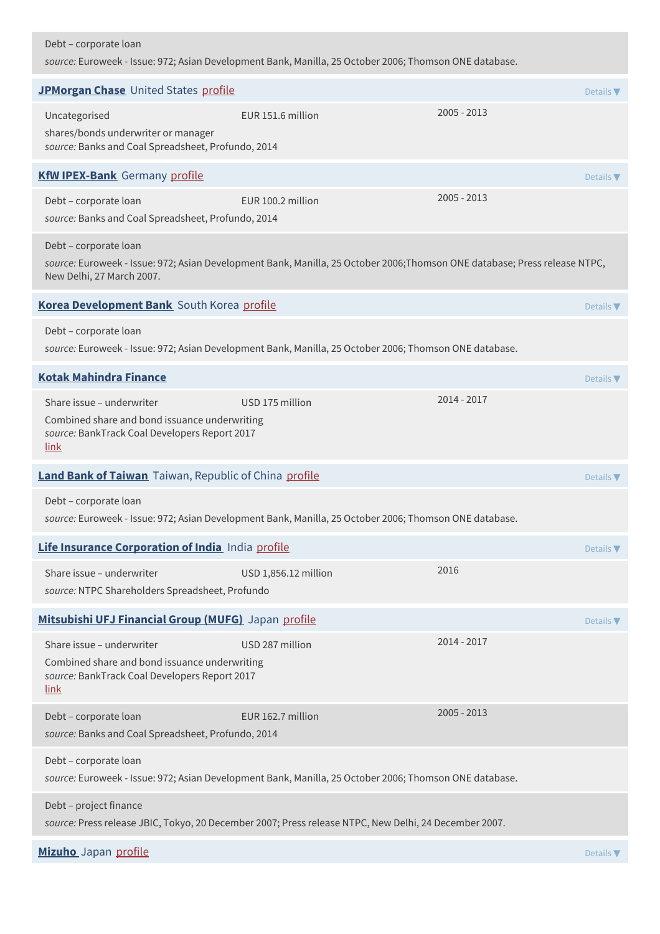### Debt – corporate loan

*source:* Euroweek - Issue: 972; Asian Development Bank, Manilla, 25 October 2006; Thomson ONE database.

| JPMorgan Chase United States profile                                                                                                       |                                                                                                                           |               | Details $\nabla$             |
|--------------------------------------------------------------------------------------------------------------------------------------------|---------------------------------------------------------------------------------------------------------------------------|---------------|------------------------------|
| Uncategorised<br>shares/bonds underwriter or manager<br>source: Banks and Coal Spreadsheet, Profundo, 2014                                 | EUR 151.6 million                                                                                                         | $2005 - 2013$ |                              |
| <b>KfW IPEX-Bank</b> Germany profile                                                                                                       |                                                                                                                           |               | Details $\nabla$             |
| Debt - corporate loan<br>source: Banks and Coal Spreadsheet, Profundo, 2014                                                                | EUR 100.2 million                                                                                                         | $2005 - 2013$ |                              |
| Debt - corporate loan<br>New Delhi, 27 March 2007.                                                                                         | source: Euroweek - Issue: 972; Asian Development Bank, Manilla, 25 October 2006;Thomson ONE database; Press release NTPC, |               |                              |
| Korea Development Bank South Korea profile                                                                                                 |                                                                                                                           |               | Details $\blacktriangledown$ |
| Debt - corporate loan                                                                                                                      | source: Euroweek - Issue: 972; Asian Development Bank, Manilla, 25 October 2006; Thomson ONE database.                    |               |                              |
| <b>Kotak Mahindra Finance</b>                                                                                                              |                                                                                                                           |               | Details $\blacktriangledown$ |
| Share issue - underwriter<br>Combined share and bond issuance underwriting<br>source: BankTrack Coal Developers Report 2017<br>link        | USD 175 million                                                                                                           | 2014 - 2017   |                              |
| Land Bank of Taiwan Taiwan, Republic of China profile                                                                                      |                                                                                                                           |               | Details $\nabla$             |
| Debt - corporate loan                                                                                                                      | source: Euroweek - Issue: 972; Asian Development Bank, Manilla, 25 October 2006; Thomson ONE database.                    |               |                              |
| Life Insurance Corporation of India India profile                                                                                          |                                                                                                                           |               | Details $\nabla$             |
| Share issue - underwriter<br>source: NTPC Shareholders Spreadsheet, Profundo                                                               | USD 1,856.12 million                                                                                                      | 2016          |                              |
| Mitsubishi UFJ Financial Group (MUFG) Japan profile                                                                                        |                                                                                                                           |               | Details $\nabla$             |
| Share issue - underwriter<br>Combined share and bond issuance underwriting<br>source: BankTrack Coal Developers Report 2017<br><u>link</u> | USD 287 million                                                                                                           | 2014 - 2017   |                              |
| Debt - corporate loan<br>source: Banks and Coal Spreadsheet, Profundo, 2014                                                                | EUR 162.7 million                                                                                                         | $2005 - 2013$ |                              |
| Debt - corporate loan                                                                                                                      | source: Euroweek - Issue: 972; Asian Development Bank, Manilla, 25 October 2006; Thomson ONE database.                    |               |                              |
| Debt - project finance                                                                                                                     | source: Press release JBIC, Tokyo, 20 December 2007; Press release NTPC, New Delhi, 24 December 2007.                     |               |                              |
| Mizuho Japan profile                                                                                                                       |                                                                                                                           |               | Details $\nabla$             |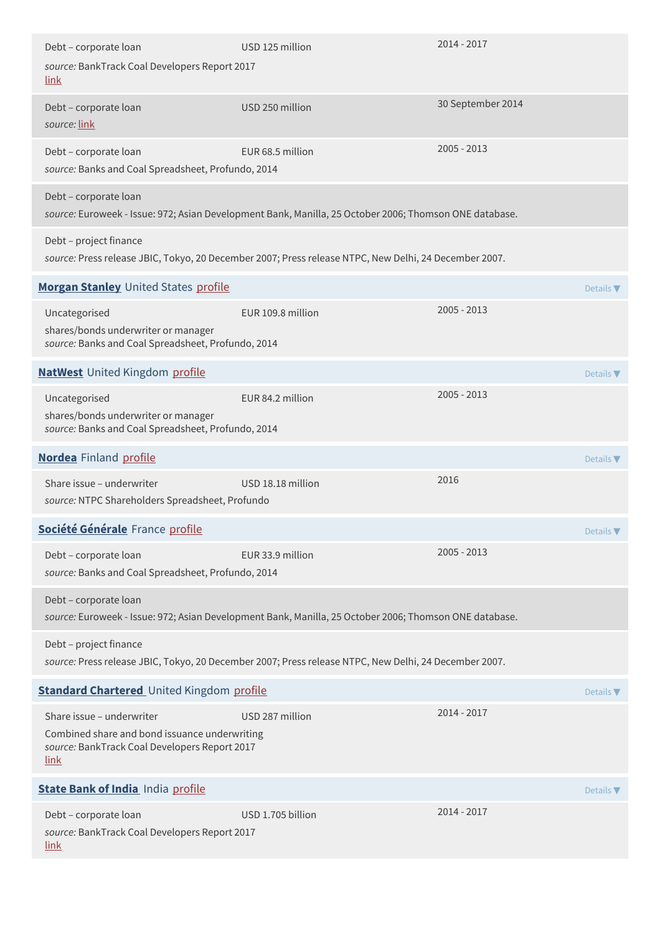| Debt - corporate loan<br>source: BankTrack Coal Developers Report 2017<br><u>link</u>                                               | USD 125 million   | $2014 - 2017$     |
|-------------------------------------------------------------------------------------------------------------------------------------|-------------------|-------------------|
| Debt - corporate loan<br>source: link                                                                                               | USD 250 million   | 30 September 2014 |
| Debt - corporate loan<br>source: Banks and Coal Spreadsheet, Profundo, 2014                                                         | EUR 68.5 million  | 2005 - 2013       |
| Debt - corporate loan<br>source: Euroweek - Issue: 972; Asian Development Bank, Manilla, 25 October 2006; Thomson ONE database.     |                   |                   |
| Debt - project finance<br>source: Press release JBIC, Tokyo, 20 December 2007; Press release NTPC, New Delhi, 24 December 2007.     |                   |                   |
| Morgan Stanley United States profile                                                                                                |                   | Details $\nabla$  |
| Uncategorised<br>shares/bonds underwriter or manager<br>source: Banks and Coal Spreadsheet, Profundo, 2014                          | EUR 109.8 million | 2005 - 2013       |
| <b>NatWest</b> United Kingdom profile                                                                                               |                   | Details $\nabla$  |
| Uncategorised<br>shares/bonds underwriter or manager<br>source: Banks and Coal Spreadsheet, Profundo, 2014                          | EUR 84.2 million  | 2005 - 2013       |
| <b>Nordea</b> Finland profile                                                                                                       |                   | Details $\nabla$  |
| Share issue - underwriter<br>source: NTPC Shareholders Spreadsheet, Profundo                                                        | USD 18.18 million | 2016              |
| Société Générale France profile                                                                                                     |                   | Details V         |
| Debt - corporate loan<br>source: Banks and Coal Spreadsheet, Profundo, 2014                                                         | EUR 33.9 million  | 2005 - 2013       |
| Debt - corporate loan<br>source: Euroweek - Issue: 972; Asian Development Bank, Manilla, 25 October 2006; Thomson ONE database.     |                   |                   |
| Debt - project finance<br>source: Press release JBIC, Tokyo, 20 December 2007; Press release NTPC, New Delhi, 24 December 2007.     |                   |                   |
| <b>Standard Chartered</b> United Kingdom profile                                                                                    |                   | Details $\nabla$  |
| Share issue - underwriter<br>Combined share and bond issuance underwriting<br>source: BankTrack Coal Developers Report 2017<br>link | USD 287 million   | 2014 - 2017       |
| <b>State Bank of India India profile</b>                                                                                            |                   | Details $\nabla$  |
| Debt - corporate loan<br>source: BankTrack Coal Developers Report 2017<br><u>link</u>                                               | USD 1.705 billion | 2014 - 2017       |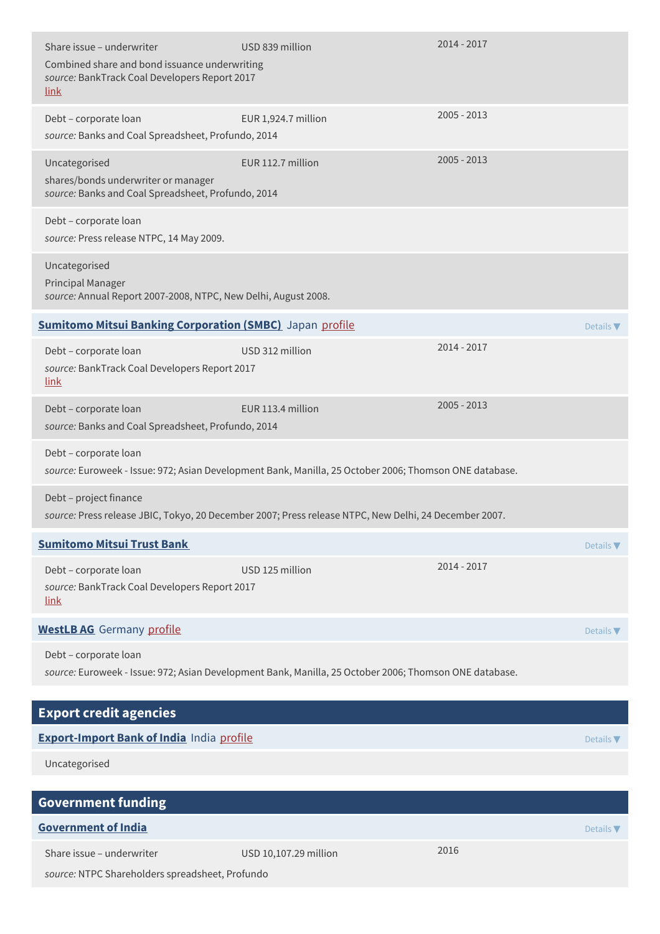| Share issue - underwriter<br>Combined share and bond issuance underwriting<br>source: BankTrack Coal Developers Report 2017<br><u>link</u> | USD 839 million                                                                                        | 2014 - 2017   |                  |
|--------------------------------------------------------------------------------------------------------------------------------------------|--------------------------------------------------------------------------------------------------------|---------------|------------------|
| Debt - corporate loan<br>source: Banks and Coal Spreadsheet, Profundo, 2014                                                                | EUR 1,924.7 million                                                                                    | $2005 - 2013$ |                  |
| Uncategorised<br>shares/bonds underwriter or manager<br>source: Banks and Coal Spreadsheet, Profundo, 2014                                 | EUR 112.7 million                                                                                      | $2005 - 2013$ |                  |
| Debt - corporate loan<br>source: Press release NTPC, 14 May 2009.                                                                          |                                                                                                        |               |                  |
| Uncategorised<br>Principal Manager<br>source: Annual Report 2007-2008, NTPC, New Delhi, August 2008.                                       |                                                                                                        |               |                  |
| <b>Sumitomo Mitsui Banking Corporation (SMBC)</b> Japan profile                                                                            |                                                                                                        |               | Details $\nabla$ |
| Debt - corporate loan<br>source: BankTrack Coal Developers Report 2017<br>link                                                             | USD 312 million                                                                                        | 2014 - 2017   |                  |
| Debt - corporate loan<br>source: Banks and Coal Spreadsheet, Profundo, 2014                                                                | EUR 113.4 million                                                                                      | 2005 - 2013   |                  |
| Debt - corporate loan                                                                                                                      | source: Euroweek - Issue: 972; Asian Development Bank, Manilla, 25 October 2006; Thomson ONE database. |               |                  |
| Debt - project finance                                                                                                                     | source: Press release JBIC, Tokyo, 20 December 2007; Press release NTPC, New Delhi, 24 December 2007.  |               |                  |
| <b>Sumitomo Mitsui Trust Bank</b>                                                                                                          |                                                                                                        |               | Details $\nabla$ |
| Debt - corporate loan<br>source: BankTrack Coal Developers Report 2017<br>link                                                             | USD 125 million                                                                                        | 2014 - 2017   |                  |
| <b>WestLB AG</b> Germany profile                                                                                                           |                                                                                                        |               | Details $\nabla$ |
| Debt - corporate loan                                                                                                                      | source: Euroweek - Issue: 972; Asian Development Bank, Manilla, 25 October 2006; Thomson ONE database. |               |                  |
| <b>Export credit agencies</b>                                                                                                              |                                                                                                        |               |                  |
| <b>Export-Import Bank of India India profile</b>                                                                                           |                                                                                                        |               | Details $\nabla$ |
| Uncategorised                                                                                                                              |                                                                                                        |               |                  |
| <b>Government funding</b>                                                                                                                  |                                                                                                        |               |                  |
| <b>Government of India</b>                                                                                                                 |                                                                                                        |               | Details $\nabla$ |
| Share issue - underwriter<br>source: NTPC Shareholders spreadsheet, Profundo                                                               | USD 10,107.29 million                                                                                  | 2016          |                  |